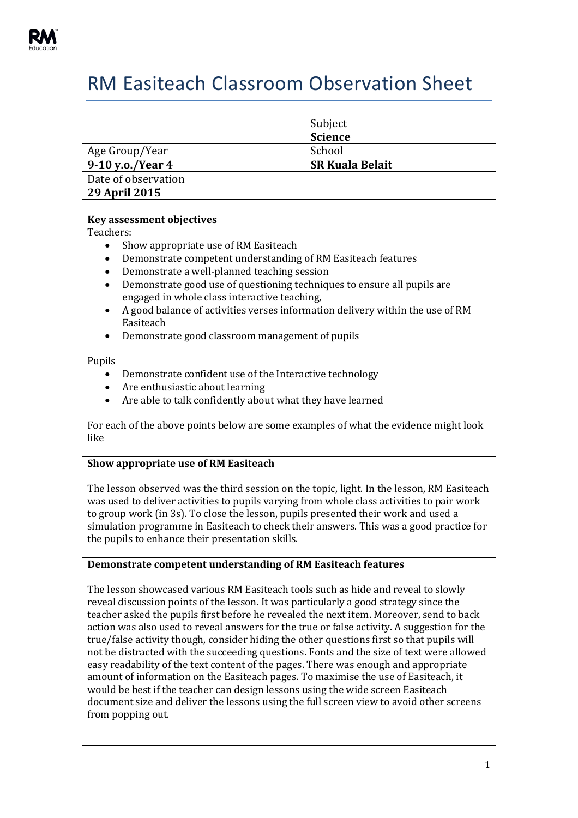

# RM Easiteach Classroom Observation Sheet

|                     | Subject<br><b>Science</b> |
|---------------------|---------------------------|
| Age Group/Year      | School                    |
| 9-10 y.o./Year 4    | <b>SR Kuala Belait</b>    |
| Date of observation |                           |
| 29 April 2015       |                           |

# **Key assessment objectives**

Teachers:

- Show appropriate use of RM Easiteach
- Demonstrate competent understanding of RM Easiteach features
- Demonstrate a well-planned teaching session
- Demonstrate good use of questioning techniques to ensure all pupils are engaged in whole class interactive teaching,
- A good balance of activities verses information delivery within the use of RM Easiteach
- Demonstrate good classroom management of pupils

Pupils

- Demonstrate confident use of the Interactive technology
- Are enthusiastic about learning
- Are able to talk confidently about what they have learned

For each of the above points below are some examples of what the evidence might look like

# **Show appropriate use of RM Easiteach**

The lesson observed was the third session on the topic, light. In the lesson, RM Easiteach was used to deliver activities to pupils varying from whole class activities to pair work to group work (in 3s). To close the lesson, pupils presented their work and used a simulation programme in Easiteach to check their answers. This was a good practice for the pupils to enhance their presentation skills.

### **Demonstrate competent understanding of RM Easiteach features**

The lesson showcased various RM Easiteach tools such as hide and reveal to slowly reveal discussion points of the lesson. It was particularly a good strategy since the teacher asked the pupils first before he revealed the next item. Moreover, send to back action was also used to reveal answers for the true or false activity. A suggestion for the true/false activity though, consider hiding the other questions first so that pupils will not be distracted with the succeeding questions. Fonts and the size of text were allowed easy readability of the text content of the pages. There was enough and appropriate amount of information on the Easiteach pages. To maximise the use of Easiteach, it would be best if the teacher can design lessons using the wide screen Easiteach document size and deliver the lessons using the full screen view to avoid other screens from popping out.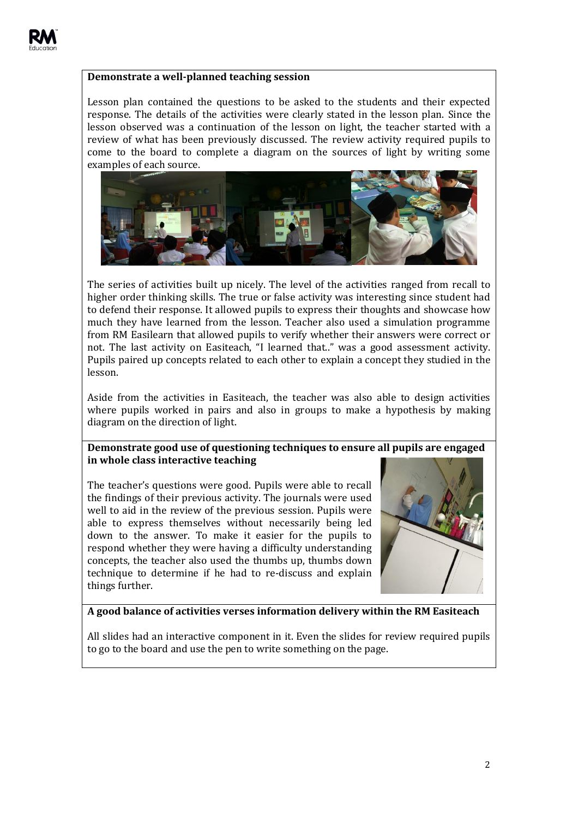# **Demonstrate a well-planned teaching session**

Lesson plan contained the questions to be asked to the students and their expected response. The details of the activities were clearly stated in the lesson plan. Since the lesson observed was a continuation of the lesson on light, the teacher started with a review of what has been previously discussed. The review activity required pupils to come to the board to complete a diagram on the sources of light by writing some examples of each source.



The series of activities built up nicely. The level of the activities ranged from recall to higher order thinking skills. The true or false activity was interesting since student had to defend their response. It allowed pupils to express their thoughts and showcase how much they have learned from the lesson. Teacher also used a simulation programme from RM Easilearn that allowed pupils to verify whether their answers were correct or not. The last activity on Easiteach, "I learned that.." was a good assessment activity. Pupils paired up concepts related to each other to explain a concept they studied in the lesson.

Aside from the activities in Easiteach, the teacher was also able to design activities where pupils worked in pairs and also in groups to make a hypothesis by making diagram on the direction of light.

# **Demonstrate good use of questioning techniques to ensure all pupils are engaged in whole class interactive teaching**

The teacher's questions were good. Pupils were able to recall the findings of their previous activity. The journals were used well to aid in the review of the previous session. Pupils were able to express themselves without necessarily being led down to the answer. To make it easier for the pupils to respond whether they were having a difficulty understanding concepts, the teacher also used the thumbs up, thumbs down technique to determine if he had to re-discuss and explain things further.



### **A good balance of activities verses information delivery within the RM Easiteach**

All slides had an interactive component in it. Even the slides for review required pupils to go to the board and use the pen to write something on the page.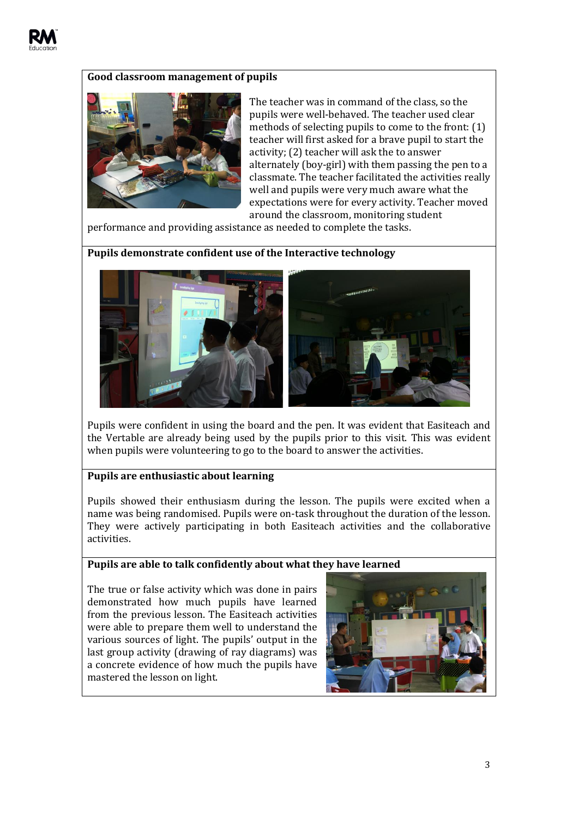

## **Good classroom management of pupils**



The teacher was in command of the class, so the pupils were well-behaved. The teacher used clear methods of selecting pupils to come to the front: (1) teacher will first asked for a brave pupil to start the activity; (2) teacher will ask the to answer alternately (boy-girl) with them passing the pen to a classmate. The teacher facilitated the activities really well and pupils were very much aware what the expectations were for every activity. Teacher moved around the classroom, monitoring student

performance and providing assistance as needed to complete the tasks.

**Pupils demonstrate confident use of the Interactive technology**



Pupils were confident in using the board and the pen. It was evident that Easiteach and the Vertable are already being used by the pupils prior to this visit. This was evident when pupils were volunteering to go to the board to answer the activities.

#### **Pupils are enthusiastic about learning**

Pupils showed their enthusiasm during the lesson. The pupils were excited when a name was being randomised. Pupils were on-task throughout the duration of the lesson. They were actively participating in both Easiteach activities and the collaborative activities.

#### **Pupils are able to talk confidently about what they have learned**

The true or false activity which was done in pairs demonstrated how much pupils have learned from the previous lesson. The Easiteach activities were able to prepare them well to understand the various sources of light. The pupils' output in the last group activity (drawing of ray diagrams) was a concrete evidence of how much the pupils have mastered the lesson on light.